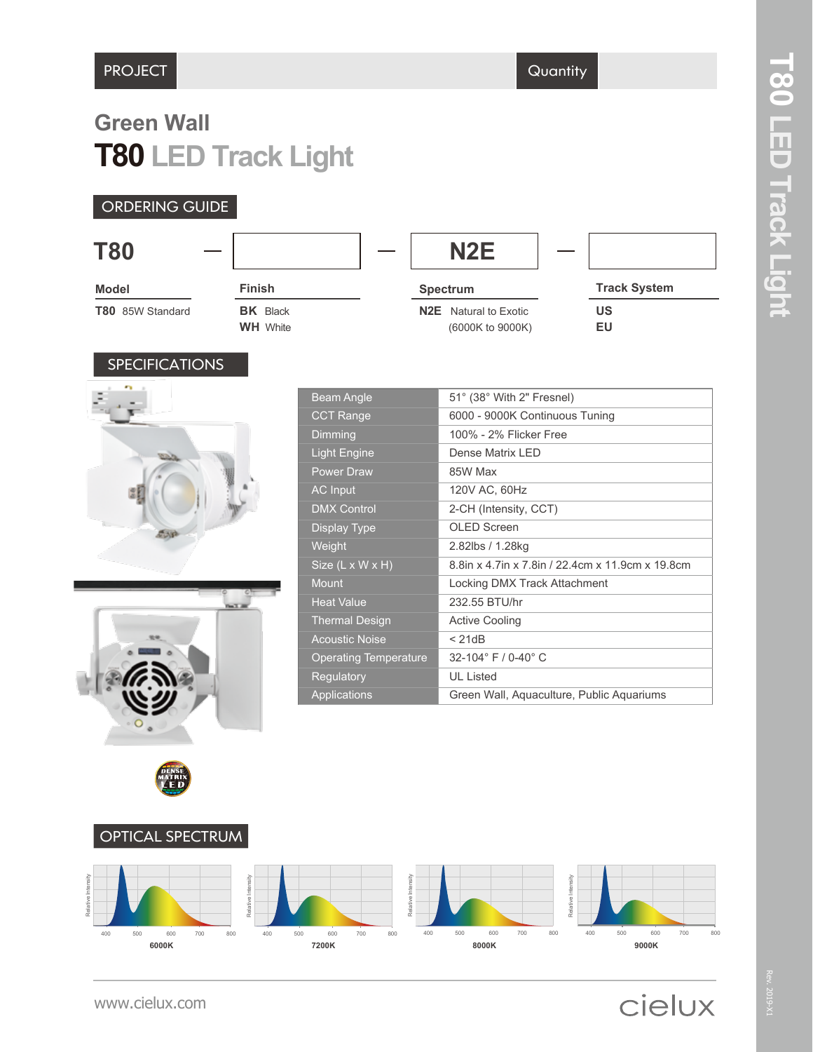# **T80 LED Track Light Green Wall**

### ORDERING GUIDE

| <b>T80</b>            |                                    |                                         |                                | N <sub>2</sub> E                      |  |                     |
|-----------------------|------------------------------------|-----------------------------------------|--------------------------------|---------------------------------------|--|---------------------|
| <b>Model</b>          | <b>Finish</b>                      |                                         |                                | <b>Spectrum</b>                       |  | <b>Track System</b> |
| T80 85W Standard      | <b>BK</b> Black<br><b>WH</b> White |                                         | N2E                            | Natural to Exotic<br>(6000K to 9000K) |  | <b>US</b><br>EU     |
| <b>SPECIFICATIONS</b> |                                    |                                         |                                |                                       |  |                     |
|                       |                                    | 51° (38° With 2" Fresnel)<br>Beam Angle |                                |                                       |  |                     |
|                       |                                    | <b>CCT Range</b>                        | 6000 - 9000K Continuous Tuning |                                       |  |                     |
|                       |                                    | <b>Dimming</b>                          |                                | 100% - 2% Flicker Free                |  |                     |









Rev. 2019-X1

cielux